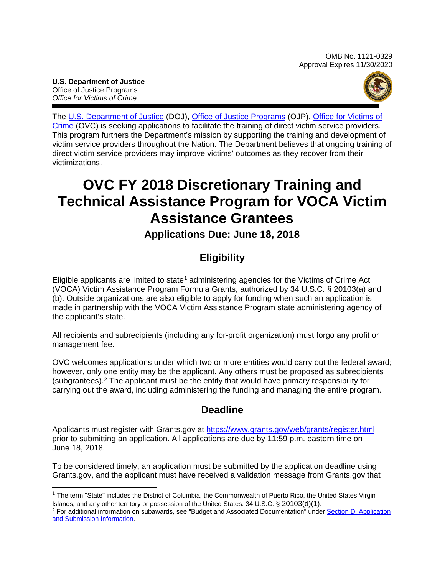**U.S. Department of Justice** Office of Justice Programs *Office for Victims of Crime*



The [U.S. Department of Justice](https://www.usdoj.gov/) (DOJ), Office of [Justice Programs](https://www.ojp.gov/) (OJP), Office for [Victims of](www.ovc.gov) [Crime](www.ovc.gov) (OVC) is seeking applications to facilitate the training of direct victim service providers*.* This program furthers the Department's mission by supporting the training and development of victim service providers throughout the Nation. The Department believes that ongoing training of direct victim service providers may improve victims' outcomes as they recover from their victimizations.

## **OVC FY 2018 Discretionary Training and Technical Assistance Program for VOCA Victim Assistance Grantees**

## **Applications Due: June 18, 2018**

## **Eligibility**

Eligible applicants are limited to state<sup>[1](#page-0-0)</sup> administering agencies for the Victims of Crime Act (VOCA) Victim Assistance Program Formula Grants, authorized by 34 U.S.C. § 20103(a) and (b). Outside organizations are also eligible to apply for funding when such an application is made in partnership with the VOCA Victim Assistance Program state administering agency of the applicant's state.

All recipients and subrecipients (including any for-profit organization) must forgo any profit or management fee.

OVC welcomes applications under which two or more entities would carry out the federal award; however, only one entity may be the applicant. Any others must be proposed as subrecipients (subgrantees).[2](#page-0-1) The applicant must be the entity that would have primary responsibility for carrying out the award, including administering the funding and managing the entire program.

## **Deadline**

Applicants must register with Grants.gov at <https://www.grants.gov/web/grants/register.html> prior to submitting an application. All applications are due by 11:59 p.m. eastern time on June 18, 2018.

To be considered timely, an application must be submitted by the application deadline using Grants.gov, and the applicant must have received a validation message from Grants.gov that

<span id="page-0-0"></span><sup>1</sup> The term "State" includes the District of Columbia, the Commonwealth of Puerto Rico, the United States Virgin Islands, and any other territory or possession of the United States. 34 U.S.C. § 20103(d)(1).

<span id="page-0-1"></span><sup>&</sup>lt;sup>2</sup> For additional information on subawards, see "Budget and Associated Documentation" under Section D. Application [and Submission Information.](#page-7-0)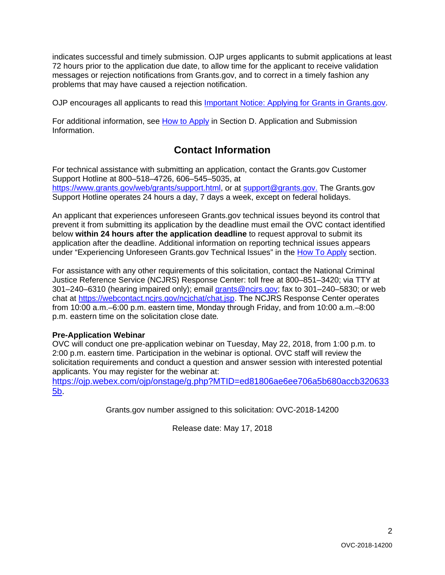indicates successful and timely submission. OJP urges applicants to submit applications at least 72 hours prior to the application due date, to allow time for the applicant to receive validation messages or rejection notifications from Grants.gov, and to correct in a timely fashion any problems that may have caused a rejection notification.

OJP encourages all applicants to read this [Important Notice: Applying for Grants in Grants.gov.](https://ojp.gov/funding/Apply/Grants-govInfo.htm)

For additional information, see How [to Apply](#page-18-0) in Section [D. Application and Submission](#page-7-0)  [Information.](#page-7-0)

## **Contact Information**

For technical assistance with submitting an application, contact the Grants.gov Customer Support Hotline at 800–518–4726, 606–545–5035, at [https://www.grants.gov/web/grants/support.html,](https://www.grants.gov/web/grants/support.html) or at [support@grants.gov.](mailto:support@grants.gov) The Grants.gov Support Hotline operates 24 hours a day, 7 days a week, except on federal holidays.

An applicant that experiences unforeseen Grants.gov technical issues beyond its control that prevent it from submitting its application by the deadline must email the OVC contact identified below **within 24 hours after the application deadline** to request approval to submit its application after the deadline. Additional information on reporting technical issues appears under "Experiencing Unforeseen Grants.gov Technical Issues" in the [How To Apply](#page-18-0) section.

For assistance with any other requirements of this solicitation, contact the National Criminal Justice Reference Service (NCJRS) Response Center: toll free at 800–851–3420; via TTY at 301–240–6310 (hearing impaired only); email [grants@ncjrs.gov;](mailto:grants@ncjrs.gov) fax to 301–240–5830; or web chat at [https://webcontact.ncjrs.gov/ncjchat/chat.jsp.](https://webcontact.ncjrs.gov/ncjchat/chat.jsp) The NCJRS Response Center operates from 10:00 a.m.–6:00 p.m. eastern time, Monday through Friday, and from 10:00 a.m.–8:00 p.m. eastern time on the solicitation close date*.*

#### **Pre-Application Webinar**

OVC will conduct one pre-application webinar on Tuesday, May 22, 2018, from 1:00 p.m. to 2:00 p.m. eastern time. Participation in the webinar is optional. OVC staff will review the solicitation requirements and conduct a question and answer session with interested potential applicants. You may register for the webinar at:

[https://ojp.webex.com/ojp/onstage/g.php?MTID=ed81806ae6ee706a5b680accb320633](https://ojp.webex.com/ojp/onstage/g.php?MTID=ed81806ae6ee706a5b680accb3206335b) [5b.](https://ojp.webex.com/ojp/onstage/g.php?MTID=ed81806ae6ee706a5b680accb3206335b)

Grants.gov number assigned to this solicitation: OVC-2018-14200

Release date: May 17, 2018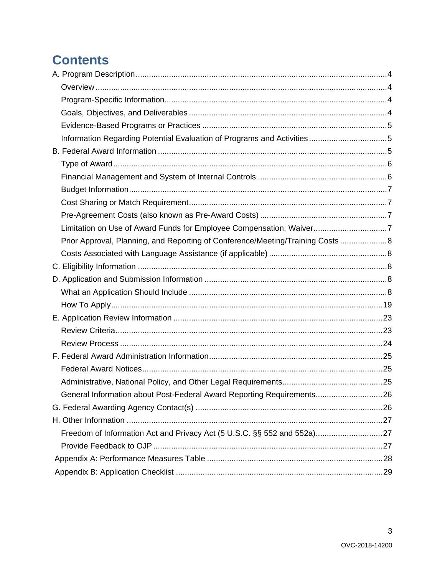## **Contents**

| Limitation on Use of Award Funds for Employee Compensation; Waiver7             |  |
|---------------------------------------------------------------------------------|--|
| Prior Approval, Planning, and Reporting of Conference/Meeting/Training Costs  8 |  |
|                                                                                 |  |
|                                                                                 |  |
|                                                                                 |  |
|                                                                                 |  |
|                                                                                 |  |
|                                                                                 |  |
|                                                                                 |  |
|                                                                                 |  |
|                                                                                 |  |
|                                                                                 |  |
|                                                                                 |  |
| General Information about Post-Federal Award Reporting Requirements26           |  |
|                                                                                 |  |
|                                                                                 |  |
|                                                                                 |  |
|                                                                                 |  |
|                                                                                 |  |
|                                                                                 |  |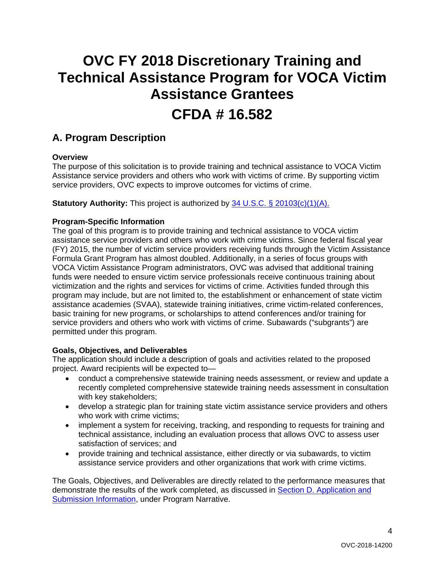# **OVC FY 2018 Discretionary Training and Technical Assistance Program for VOCA Victim Assistance Grantees**

## **CFDA # 16.582**

## <span id="page-3-0"></span>**A. Program Description**

#### <span id="page-3-1"></span>**Overview**

The purpose of this solicitation is to provide training and technical assistance to VOCA Victim Assistance service providers and others who work with victims of crime. By supporting victim service providers, OVC expects to improve outcomes for victims of crime.

**Statutory Authority:** This project is authorized by 34 U.S.C. § 20103(c)(1)(A).

#### <span id="page-3-2"></span>**Program-Specific Information**

The goal of this program is to provide training and technical assistance to VOCA victim assistance service providers and others who work with crime victims. Since federal fiscal year (FY) 2015, the number of victim service providers receiving funds through the Victim Assistance Formula Grant Program has almost doubled. Additionally, in a series of focus groups with VOCA Victim Assistance Program administrators, OVC was advised that additional training funds were needed to ensure victim service professionals receive continuous training about victimization and the rights and services for victims of crime. Activities funded through this program may include, but are not limited to, the establishment or enhancement of state victim assistance academies (SVAA), statewide training initiatives, crime victim-related conferences, basic training for new programs, or scholarships to attend conferences and/or training for service providers and others who work with victims of crime. Subawards ("subgrants") are permitted under this program.

#### <span id="page-3-3"></span>**Goals, Objectives, and Deliverables**

The application should include a description of goals and activities related to the proposed project. Award recipients will be expected to—

- conduct a comprehensive statewide training needs assessment, or review and update a recently completed comprehensive statewide training needs assessment in consultation with key stakeholders;
- develop a strategic plan for training state victim assistance service providers and others who work with crime victims;
- implement a system for receiving, tracking, and responding to requests for training and technical assistance, including an evaluation process that allows OVC to assess user satisfaction of services; and
- provide training and technical assistance, either directly or via subawards, to victim assistance service providers and other organizations that work with crime victims.

The Goals, Objectives, and Deliverables are directly related to the performance measures that demonstrate the results of the work completed, as discussed in [Section D. Application and](#page-7-0)  [Submission Information,](#page-7-0) under Program Narrative.

4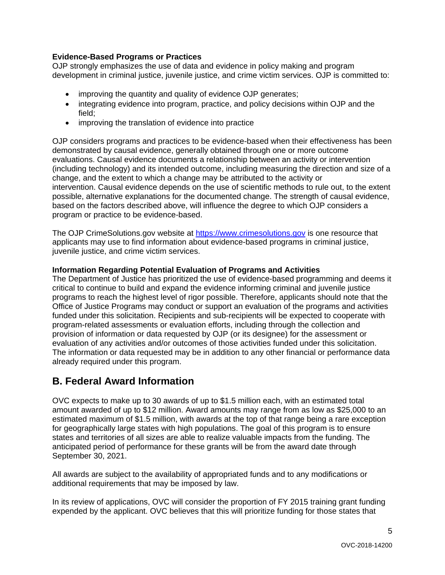#### <span id="page-4-0"></span>**Evidence-Based Programs or Practices**

OJP strongly emphasizes the use of data and evidence in policy making and program development in criminal justice, juvenile justice, and crime victim services. OJP is committed to:

- improving the quantity and quality of evidence OJP generates;
- integrating evidence into program, practice, and policy decisions within OJP and the field;
- improving the translation of evidence into practice

OJP considers programs and practices to be evidence-based when their effectiveness has been demonstrated by causal evidence, generally obtained through one or more outcome evaluations. Causal evidence documents a relationship between an activity or intervention (including technology) and its intended outcome, including measuring the direction and size of a change, and the extent to which a change may be attributed to the activity or intervention. Causal evidence depends on the use of scientific methods to rule out, to the extent possible, alternative explanations for the documented change. The strength of causal evidence, based on the factors described above, will influence the degree to which OJP considers a program or practice to be evidence-based.

The OJP CrimeSolutions.gov website at [https://www.crimesolutions.gov](https://www.crimesolutions.gov/) is one resource that applicants may use to find information about evidence-based programs in criminal justice, juvenile justice, and crime victim services.

#### <span id="page-4-1"></span>**Information Regarding Potential Evaluation of Programs and Activities**

The Department of Justice has prioritized the use of evidence-based programming and deems it critical to continue to build and expand the evidence informing criminal and juvenile justice programs to reach the highest level of rigor possible. Therefore, applicants should note that the Office of Justice Programs may conduct or support an evaluation of the programs and activities funded under this solicitation. Recipients and sub-recipients will be expected to cooperate with program-related assessments or evaluation efforts, including through the collection and provision of information or data requested by OJP (or its designee) for the assessment or evaluation of any activities and/or outcomes of those activities funded under this solicitation. The information or data requested may be in addition to any other financial or performance data already required under this program.

## <span id="page-4-2"></span>**B. Federal Award Information**

OVC expects to make up to 30 awards of up to \$1.5 million each, with an estimated total amount awarded of up to \$12 million. Award amounts may range from as low as \$25,000 to an estimated maximum of \$1.5 million, with awards at the top of that range being a rare exception for geographically large states with high populations. The goal of this program is to ensure states and territories of all sizes are able to realize valuable impacts from the funding. The anticipated period of performance for these grants will be from the award date through September 30, 2021.

All awards are subject to the availability of appropriated funds and to any modifications or additional requirements that may be imposed by law.

In its review of applications, OVC will consider the proportion of FY 2015 training grant funding expended by the applicant. OVC believes that this will prioritize funding for those states that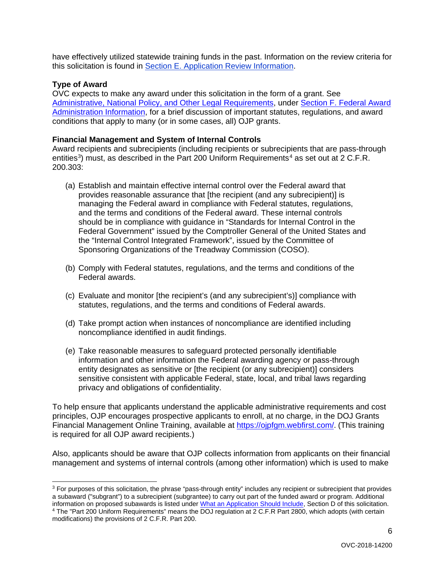have effectively utilized statewide training funds in the past. Information on the review criteria for this solicitation is found in [Section E. Application Review Information.](#page-22-2)

#### <span id="page-5-0"></span>**Type of Award**

OVC expects to make any award under this solicitation in the form of a grant. See [Administrative, National Policy, and Other Legal Requirements,](#page-24-0) under [Section F. Federal Award](#page-24-0)  [Administration Information,](#page-24-0) for a brief discussion of important statutes, regulations, and award conditions that apply to many (or in some cases, all) OJP grants.

#### <span id="page-5-1"></span>**Financial Management and System of Internal Controls**

Award recipients and subrecipients (including recipients or subrecipients that are pass-through entities<sup>[3](#page-5-2)</sup>) must, as described in the Part 200 Uniform Requirements<sup>[4](#page-5-3)</sup> as set out at 2 C.F.R. 200.303:

- (a) Establish and maintain effective internal control over the Federal award that provides reasonable assurance that [the recipient (and any subrecipient)] is managing the Federal award in compliance with Federal statutes, regulations, and the terms and conditions of the Federal award. These internal controls should be in compliance with guidance in "Standards for Internal Control in the Federal Government" issued by the Comptroller General of the United States and the "Internal Control Integrated Framework", issued by the Committee of Sponsoring Organizations of the Treadway Commission (COSO).
- (b) Comply with Federal statutes, regulations, and the terms and conditions of the Federal awards.
- (c) Evaluate and monitor [the recipient's (and any subrecipient's)] compliance with statutes, regulations, and the terms and conditions of Federal awards.
- (d) Take prompt action when instances of noncompliance are identified including noncompliance identified in audit findings.
- (e) Take reasonable measures to safeguard protected personally identifiable information and other information the Federal awarding agency or pass-through entity designates as sensitive or [the recipient (or any subrecipient)] considers sensitive consistent with applicable Federal, state, local, and tribal laws regarding privacy and obligations of confidentiality.

To help ensure that applicants understand the applicable administrative requirements and cost principles, OJP encourages prospective applicants to enroll, at no charge, in the DOJ Grants Financial Management Online Training, available at [https://ojpfgm.webfirst.com/.](https://ojpfgm.webfirst.com/) (This training is required for all OJP award recipients.)

Also, applicants should be aware that OJP collects information from applicants on their financial management and systems of internal controls (among other information) which is used to make

<span id="page-5-3"></span><span id="page-5-2"></span><sup>&</sup>lt;sup>3</sup> For purposes of this solicitation, the phrase "pass-through entity" includes any recipient or subrecipient that provides a subaward ("subgrant") to a subrecipient (subgrantee) to carry out part of the funded award or program. Additional information on proposed subawards is listed unde[r What an Application Should Include,](#page-7-4) Section D of this solicitation. <sup>4</sup> The "Part 200 Uniform Requirements" means the DOJ regulation at 2 C.F.R Part 2800, which adopts (with certain modifications) the provisions of 2 C.F.R. Part 200.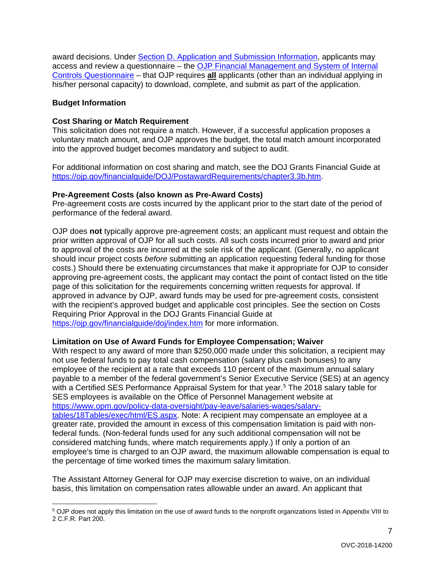<span id="page-6-0"></span>award decisions. Under [Section D. Application and Submission Information,](#page-7-0) applicants may access and review a questionnaire – the [OJP Financial Management and System of Internal](https://ojp.gov/funding/Apply/Resources/FinancialCapability.pdf)  [Controls Questionnaire](https://ojp.gov/funding/Apply/Resources/FinancialCapability.pdf) – that OJP requires **all** applicants (other than an individual applying in his/her personal capacity) to download, complete, and submit as part of the application.

#### **Budget Information**

#### <span id="page-6-1"></span>**Cost Sharing or Match Requirement**

This solicitation does not require a match. However, if a successful application proposes a voluntary match amount, and OJP approves the budget, the total match amount incorporated into the approved budget becomes mandatory and subject to audit.

For additional information on cost sharing and match, see the DOJ Grants Financial Guide at [https://ojp.gov/financialguide/DOJ/PostawardRequirements/chapter3.3b.htm.](https://ojp.gov/financialguide/DOJ/PostawardRequirements/chapter3.3b.htm)

#### <span id="page-6-2"></span>**Pre-Agreement Costs (also known as Pre-Award Costs)**

Pre-agreement costs are costs incurred by the applicant prior to the start date of the period of performance of the federal award.

OJP does **not** typically approve pre-agreement costs; an applicant must request and obtain the prior written approval of OJP for all such costs. All such costs incurred prior to award and prior to approval of the costs are incurred at the sole risk of the applicant. (Generally, no applicant should incur project costs *before* submitting an application requesting federal funding for those costs.) Should there be extenuating circumstances that make it appropriate for OJP to consider approving pre-agreement costs, the applicant may contact the point of contact listed on the title page of this solicitation for the requirements concerning written requests for approval. If approved in advance by OJP, award funds may be used for pre-agreement costs, consistent with the recipient's approved budget and applicable cost principles. See the section on Costs Requiring Prior Approval in the DOJ Grants Financial Guide at <https://ojp.gov/financialguide/doj/index.htm> for more information.

#### <span id="page-6-3"></span>**Limitation on Use of Award Funds for Employee Compensation; Waiver**

With respect to any award of more than \$250,000 made under this solicitation, a recipient may not use federal funds to pay total cash compensation (salary plus cash bonuses) to any employee of the recipient at a rate that exceeds 110 percent of the maximum annual salary payable to a member of the federal government's Senior Executive Service (SES) at an agency with a Certified SES Performance Appraisal System for that year.<sup>[5](#page-6-4)</sup> The 2018 salary table for SES employees is available on the Office of Personnel Management website at [https://www.opm.gov/policy-data-oversight/pay-leave/salaries-wages/salary](https://www.opm.gov/policy-data-oversight/pay-leave/salaries-wages/salary-tables/18Tables/exec/html/ES.aspx)[tables/18Tables/exec/html/ES.aspx.](https://www.opm.gov/policy-data-oversight/pay-leave/salaries-wages/salary-tables/18Tables/exec/html/ES.aspx) Note: A recipient may compensate an employee at a greater rate, provided the amount in excess of this compensation limitation is paid with nonfederal funds. (Non-federal funds used for any such additional compensation will not be considered matching funds, where match requirements apply.) If only a portion of an employee's time is charged to an OJP award, the maximum allowable compensation is equal to the percentage of time worked times the maximum salary limitation.

The Assistant Attorney General for OJP may exercise discretion to waive, on an individual basis, this limitation on compensation rates allowable under an award. An applicant that

7

<span id="page-6-4"></span> <sup>5</sup> OJP does not apply this limitation on the use of award funds to the nonprofit organizations listed in Appendix VIII to 2 C.F.R. Part 200.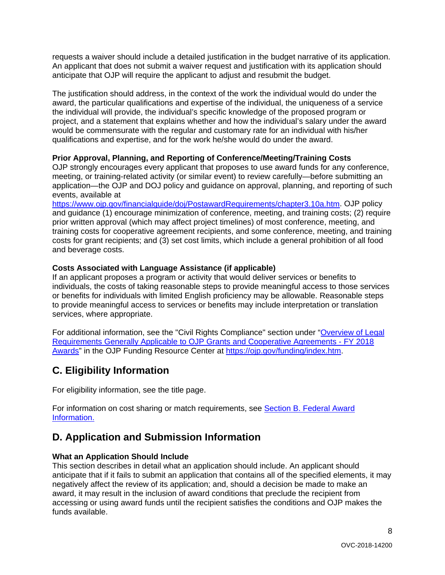requests a waiver should include a detailed justification in the budget narrative of its application. An applicant that does not submit a waiver request and justification with its application should anticipate that OJP will require the applicant to adjust and resubmit the budget.

The justification should address, in the context of the work the individual would do under the award, the particular qualifications and expertise of the individual, the uniqueness of a service the individual will provide, the individual's specific knowledge of the proposed program or project, and a statement that explains whether and how the individual's salary under the award would be commensurate with the regular and customary rate for an individual with his/her qualifications and expertise, and for the work he/she would do under the award.

#### <span id="page-7-1"></span>**Prior Approval, Planning, and Reporting of Conference/Meeting/Training Costs**

OJP strongly encourages every applicant that proposes to use award funds for any conference, meeting, or training-related activity (or similar event) to review carefully—before submitting an application—the OJP and DOJ policy and guidance on approval, planning, and reporting of such events, available at

[https://www.ojp.gov/financialguide/doj/PostawardRequirements/chapter3.10a.htm.](https://www.ojp.gov/financialguide/doj/PostawardRequirements/chapter3.10a.htm) OJP policy and guidance (1) encourage minimization of conference, meeting, and training costs; (2) require prior written approval (which may affect project timelines) of most conference, meeting, and training costs for cooperative agreement recipients, and some conference, meeting, and training costs for grant recipients; and (3) set cost limits, which include a general prohibition of all food and beverage costs.

#### <span id="page-7-2"></span>**Costs Associated with Language Assistance (if applicable)**

If an applicant proposes a program or activity that would deliver services or benefits to individuals, the costs of taking reasonable steps to provide meaningful access to those services or benefits for individuals with limited English proficiency may be allowable. Reasonable steps to provide meaningful access to services or benefits may include interpretation or translation services, where appropriate.

For additional information, see the "Civil Rights Compliance" section under ["Overview of Legal](https://ojp.gov/funding/Explore/LegalOverview/index.htm)  [Requirements Generally Applicable to OJP Grants and Cooperative Agreements -](https://ojp.gov/funding/Explore/LegalOverview/index.htm) FY 2018 [Awards"](https://ojp.gov/funding/Explore/LegalOverview/index.htm) in the OJP Funding Resource Center at [https://ojp.gov/funding/index.htm.](https://ojp.gov/funding/index.htm)

## <span id="page-7-3"></span>**C. Eligibility Information**

For eligibility information, see the title page.

For information on cost sharing or match requirements, see Section [B. Federal Award](#page-4-2)  [Information.](#page-4-2)

## <span id="page-7-0"></span>**D. Application and Submission Information**

#### <span id="page-7-4"></span>**What an Application Should Include**

This section describes in detail what an application should include. An applicant should anticipate that if it fails to submit an application that contains all of the specified elements, it may negatively affect the review of its application; and, should a decision be made to make an award, it may result in the inclusion of award conditions that preclude the recipient from accessing or using award funds until the recipient satisfies the conditions and OJP makes the funds available.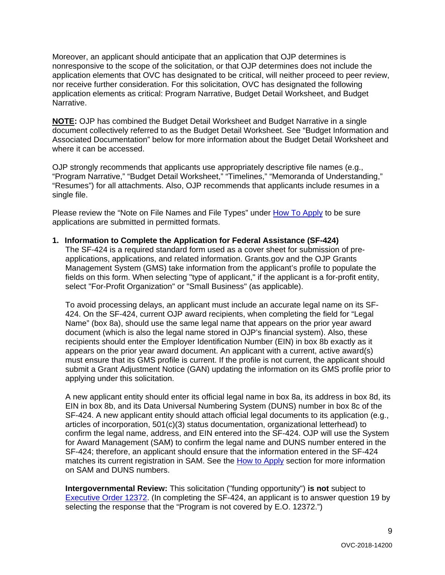Moreover, an applicant should anticipate that an application that OJP determines is nonresponsive to the scope of the solicitation, or that OJP determines does not include the application elements that OVC has designated to be critical, will neither proceed to peer review, nor receive further consideration. For this solicitation, OVC has designated the following application elements as critical: Program Narrative, Budget Detail Worksheet, and Budget Narrative.

**NOTE:** OJP has combined the Budget Detail Worksheet and Budget Narrative in a single document collectively referred to as the Budget Detail Worksheet. See "Budget Information and Associated Documentation" below for more information about the Budget Detail Worksheet and where it can be accessed.

OJP strongly recommends that applicants use appropriately descriptive file names (e.g., "Program Narrative," "Budget Detail Worksheet," "Timelines," "Memoranda of Understanding," "Resumes") for all attachments. Also, OJP recommends that applicants include resumes in a single file.

Please review the "Note on File Names and File Types" under [How To Apply](#page-18-0) to be sure applications are submitted in permitted formats.

#### **1. Information to Complete the Application for Federal Assistance (SF-424)**

The SF-424 is a required standard form used as a cover sheet for submission of preapplications, applications, and related information. Grants.gov and the OJP Grants Management System (GMS) take information from the applicant's profile to populate the fields on this form. When selecting "type of applicant," if the applicant is a for-profit entity, select "For-Profit Organization" or "Small Business" (as applicable).

To avoid processing delays, an applicant must include an accurate legal name on its SF-424. On the SF-424, current OJP award recipients, when completing the field for "Legal Name" (box 8a), should use the same legal name that appears on the prior year award document (which is also the legal name stored in OJP's financial system). Also, these recipients should enter the Employer Identification Number (EIN) in box 8b exactly as it appears on the prior year award document. An applicant with a current, active award(s) must ensure that its GMS profile is current. If the profile is not current, the applicant should submit a Grant Adjustment Notice (GAN) updating the information on its GMS profile prior to applying under this solicitation.

A new applicant entity should enter its official legal name in box 8a, its address in box 8d, its EIN in box 8b, and its Data Universal Numbering System (DUNS) number in box 8c of the SF-424. A new applicant entity should attach official legal documents to its application (e.g., articles of incorporation, 501(c)(3) status documentation, organizational letterhead) to confirm the legal name, address, and EIN entered into the SF-424. OJP will use the System for Award Management (SAM) to confirm the legal name and DUNS number entered in the SF-424; therefore, an applicant should ensure that the information entered in the SF-424 matches its current registration in SAM. See the [How to Apply](#page-18-0) section for more information on SAM and DUNS numbers.

**Intergovernmental Review:** This solicitation ("funding opportunity") **is not** subject to [Executive Order 12372.](https://www.archives.gov/federal-register/codification/executive-order/12372.html) (In completing the SF-424, an applicant is to answer question 19 by selecting the response that the "Program is not covered by E.O. 12372.")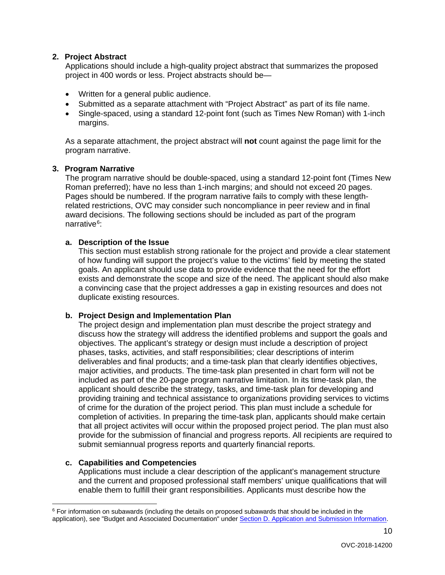#### **2. Project Abstract**

Applications should include a high-quality project abstract that summarizes the proposed project in 400 words or less. Project abstracts should be—

- Written for a general public audience.
- Submitted as a separate attachment with "Project Abstract" as part of its file name.
- Single-spaced, using a standard 12-point font (such as Times New Roman) with 1-inch margins.

As a separate attachment, the project abstract will **not** count against the page limit for the program narrative.

#### **3. Program Narrative**

The program narrative should be double-spaced, using a standard 12-point font (Times New Roman preferred); have no less than 1-inch margins; and should not exceed 20 pages. Pages should be numbered. If the program narrative fails to comply with these lengthrelated restrictions, OVC may consider such noncompliance in peer review and in final award decisions. The following sections should be included as part of the program narrative<sup>[6](#page-9-0)</sup>:

#### **a. Description of the Issue**

This section must establish strong rationale for the project and provide a clear statement of how funding will support the project's value to the victims' field by meeting the stated goals. An applicant should use data to provide evidence that the need for the effort exists and demonstrate the scope and size of the need. The applicant should also make a convincing case that the project addresses a gap in existing resources and does not duplicate existing resources.

#### **b. Project Design and Implementation Plan**

The project design and implementation plan must describe the project strategy and discuss how the strategy will address the identified problems and support the goals and objectives. The applicant's strategy or design must include a description of project phases, tasks, activities, and staff responsibilities; clear descriptions of interim deliverables and final products; and a time-task plan that clearly identifies objectives, major activities, and products. The time-task plan presented in chart form will not be included as part of the 20-page program narrative limitation. In its time-task plan, the applicant should describe the strategy, tasks, and time-task plan for developing and providing training and technical assistance to organizations providing services to victims of crime for the duration of the project period. This plan must include a schedule for completion of activities. In preparing the time-task plan, applicants should make certain that all project activites will occur within the proposed project period. The plan must also provide for the submission of financial and progress reports. All recipients are required to submit semiannual progress reports and quarterly financial reports.

#### **c. Capabilities and Competencies**

Applications must include a clear description of the applicant's management structure and the current and proposed professional staff members' unique qualifications that will enable them to fulfill their grant responsibilities. Applicants must describe how the

<span id="page-9-0"></span> $6$  For information on subawards (including the details on proposed subawards that should be included in the application), see "Budget and Associated Documentation" under [Section D. Application and Submission Information.](#page-7-0)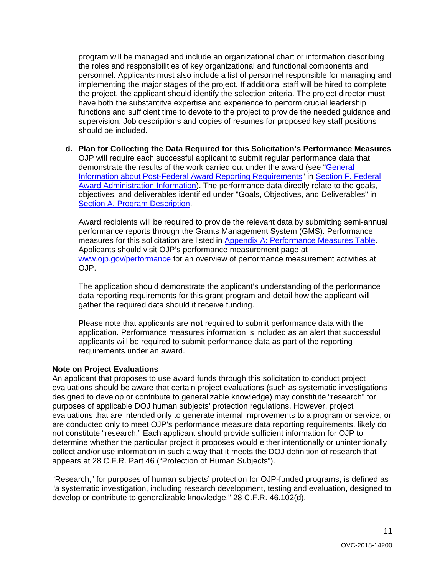program will be managed and include an organizational chart or information describing the roles and responsibilities of key organizational and functional components and personnel. Applicants must also include a list of personnel responsible for managing and implementing the major stages of the project. If additional staff will be hired to complete the project, the applicant should identify the selection criteria. The project director must have both the substantitve expertise and experience to perform crucial leadership functions and sufficient time to devote to the project to provide the needed guidance and supervision. Job descriptions and copies of resumes for proposed key staff positions should be included.

**d. Plan for Collecting the Data Required for this Solicitation's Performance Measures** OJP will require each successful applicant to submit regular performance data that demonstrate the results of the work carried out under the award (see ["General](#page-25-0)  [Information about Post-Federal Award Reporting Requirements"](#page-25-0) in [Section F. Federal](#page-24-0)  [Award Administration Information\)](#page-24-0). The performance data directly relate to the goals, objectives, and deliverables identified under "Goals, Objectives, and Deliverables" in [Section A. Program Description.](#page-3-0)

Award recipients will be required to provide the relevant data by submitting semi-annual performance reports through the Grants Management System (GMS). Performance measures for this solicitation are listed in [Appendix A: Performance Measures Table.](#page-27-1) Applicants should visit OJP's performance measurement page at [www.ojp.gov/performance](https://www.ojp.gov/performance) for an overview of performance measurement activities at OJP.

The application should demonstrate the applicant's understanding of the performance data reporting requirements for this grant program and detail how the applicant will gather the required data should it receive funding.

Please note that applicants are **not** required to submit performance data with the application. Performance measures information is included as an alert that successful applicants will be required to submit performance data as part of the reporting requirements under an award.

#### **Note on Project Evaluations**

An applicant that proposes to use award funds through this solicitation to conduct project evaluations should be aware that certain project evaluations (such as systematic investigations designed to develop or contribute to generalizable knowledge) may constitute "research" for purposes of applicable DOJ human subjects' protection regulations. However, project evaluations that are intended only to generate internal improvements to a program or service, or are conducted only to meet OJP's performance measure data reporting requirements, likely do not constitute "research." Each applicant should provide sufficient information for OJP to determine whether the particular project it proposes would either intentionally or unintentionally collect and/or use information in such a way that it meets the DOJ definition of research that appears at 28 C.F.R. Part 46 ("Protection of Human Subjects").

"Research," for purposes of human subjects' protection for OJP-funded programs, is defined as "a systematic investigation, including research development, testing and evaluation, designed to develop or contribute to generalizable knowledge." 28 C.F.R. 46.102(d).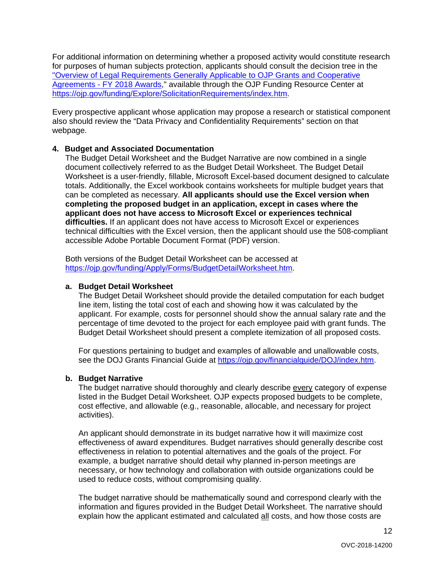For additional information on determining whether a proposed activity would constitute research for purposes of human subjects protection, applicants should consult the decision tree in the ["Overview of Legal Requirements Generally Applicable to OJP Grants and Cooperative](https://ojp.gov/funding/Explore/LegalOverview/index.htm)  Agreements - [FY 2018 Awards,](https://ojp.gov/funding/Explore/LegalOverview/index.htm)" available through the OJP Funding Resource Center at [https://ojp.gov/funding/Explore/SolicitationRequirements/index.htm.](https://ojp.gov/funding/Explore/SolicitationRequirements/index.htm)

Every prospective applicant whose application may propose a research or statistical component also should review the "Data Privacy and Confidentiality Requirements" section on that webpage.

#### **4. Budget and Associated Documentation**

The Budget Detail Worksheet and the Budget Narrative are now combined in a single document collectively referred to as the Budget Detail Worksheet. The Budget Detail Worksheet is a user-friendly, fillable, Microsoft Excel-based document designed to calculate totals. Additionally, the Excel workbook contains worksheets for multiple budget years that can be completed as necessary. **All applicants should use the Excel version when completing the proposed budget in an application, except in cases where the applicant does not have access to Microsoft Excel or experiences technical difficulties.** If an applicant does not have access to Microsoft Excel or experiences technical difficulties with the Excel version, then the applicant should use the 508-compliant accessible Adobe Portable Document Format (PDF) version.

Both versions of the Budget Detail Worksheet can be accessed at [https://ojp.gov/funding/Apply/Forms/BudgetDetailWorksheet.htm.](https://ojp.gov/funding/Apply/Forms/BudgetDetailWorksheet.htm)

#### **a. Budget Detail Worksheet**

The Budget Detail Worksheet should provide the detailed computation for each budget line item, listing the total cost of each and showing how it was calculated by the applicant. For example, costs for personnel should show the annual salary rate and the percentage of time devoted to the project for each employee paid with grant funds. The Budget Detail Worksheet should present a complete itemization of all proposed costs.

For questions pertaining to budget and examples of allowable and unallowable costs, see the DOJ Grants Financial Guide at [https://ojp.gov/financialguide/DOJ/index.htm.](https://ojp.gov/financialguide/DOJ/index.htm)

#### **b. Budget Narrative**

The budget narrative should thoroughly and clearly describe every category of expense listed in the Budget Detail Worksheet. OJP expects proposed budgets to be complete, cost effective, and allowable (e.g., reasonable, allocable, and necessary for project activities).

An applicant should demonstrate in its budget narrative how it will maximize cost effectiveness of award expenditures. Budget narratives should generally describe cost effectiveness in relation to potential alternatives and the goals of the project. For example, a budget narrative should detail why planned in-person meetings are necessary, or how technology and collaboration with outside organizations could be used to reduce costs, without compromising quality.

The budget narrative should be mathematically sound and correspond clearly with the information and figures provided in the Budget Detail Worksheet. The narrative should explain how the applicant estimated and calculated all costs, and how those costs are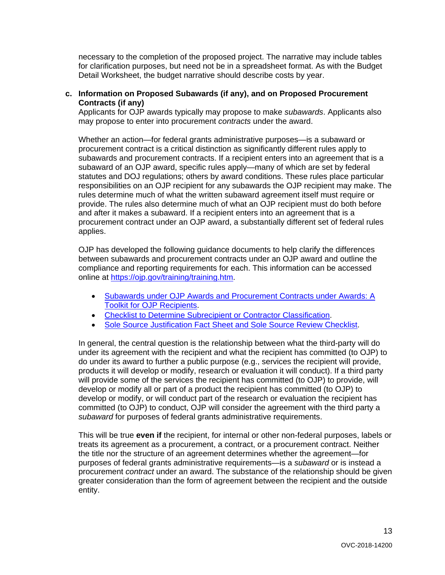necessary to the completion of the proposed project. The narrative may include tables for clarification purposes, but need not be in a spreadsheet format. As with the Budget Detail Worksheet, the budget narrative should describe costs by year.

#### **c. Information on Proposed Subawards (if any), and on Proposed Procurement Contracts (if any)**

Applicants for OJP awards typically may propose to make *subawards*. Applicants also may propose to enter into procurement *contracts* under the award.

Whether an action—for federal grants administrative purposes—is a subaward or procurement contract is a critical distinction as significantly different rules apply to subawards and procurement contracts. If a recipient enters into an agreement that is a subaward of an OJP award, specific rules apply—many of which are set by federal statutes and DOJ regulations; others by award conditions. These rules place particular responsibilities on an OJP recipient for any subawards the OJP recipient may make. The rules determine much of what the written subaward agreement itself must require or provide. The rules also determine much of what an OJP recipient must do both before and after it makes a subaward. If a recipient enters into an agreement that is a procurement contract under an OJP award, a substantially different set of federal rules applies.

OJP has developed the following guidance documents to help clarify the differences between subawards and procurement contracts under an OJP award and outline the compliance and reporting requirements for each. This information can be accessed online at [https://ojp.gov/training/training.htm.](http://links.govdelivery.com/track?type=click&enid=ZWFzPTEmbXNpZD0mYXVpZD0mbWFpbGluZ2lkPTIwMTcwNzE3Ljc1OTkyNjAxJm1lc3NhZ2VpZD1NREItUFJELUJVTC0yMDE3MDcxNy43NTk5MjYwMSZkYXRhYmFzZWlkPTEwMDEmc2VyaWFsPTE3MDc5NDk3JmVtYWlsaWQ9bHVjeS5tdW5nbGVAb2pwLnVzZG9qLmdvdiZ1c2VyaWQ9bHVjeS5tdW5nbGVAb2pwLnVzZG9qLmdvdiZ0YXJnZXRpZD0mZmw9Jm12aWQ9JmV4dHJhPSYmJg==&&&100&&&https://ojp.gov/training/training.htm)

- [Subawards under OJP Awards and Procurement Contracts under Awards: A](http://links.govdelivery.com/track?type=click&enid=ZWFzPTEmbXNpZD0mYXVpZD0mbWFpbGluZ2lkPTIwMTcwNzE3Ljc1OTkyNjAxJm1lc3NhZ2VpZD1NREItUFJELUJVTC0yMDE3MDcxNy43NTk5MjYwMSZkYXRhYmFzZWlkPTEwMDEmc2VyaWFsPTE3MDc5NDk3JmVtYWlsaWQ9bHVjeS5tdW5nbGVAb2pwLnVzZG9qLmdvdiZ1c2VyaWQ9bHVjeS5tdW5nbGVAb2pwLnVzZG9qLmdvdiZ0YXJnZXRpZD0mZmw9Jm12aWQ9JmV4dHJhPSYmJg==&&&101&&&https://ojp.gov/training/pdfs/Subaward-Procure-Toolkit-D.pdf)  [Toolkit for OJP Recipients.](http://links.govdelivery.com/track?type=click&enid=ZWFzPTEmbXNpZD0mYXVpZD0mbWFpbGluZ2lkPTIwMTcwNzE3Ljc1OTkyNjAxJm1lc3NhZ2VpZD1NREItUFJELUJVTC0yMDE3MDcxNy43NTk5MjYwMSZkYXRhYmFzZWlkPTEwMDEmc2VyaWFsPTE3MDc5NDk3JmVtYWlsaWQ9bHVjeS5tdW5nbGVAb2pwLnVzZG9qLmdvdiZ1c2VyaWQ9bHVjeS5tdW5nbGVAb2pwLnVzZG9qLmdvdiZ0YXJnZXRpZD0mZmw9Jm12aWQ9JmV4dHJhPSYmJg==&&&101&&&https://ojp.gov/training/pdfs/Subaward-Procure-Toolkit-D.pdf)
- [Checklist to Determine Subrecipient or Contractor Classification.](http://links.govdelivery.com/track?type=click&enid=ZWFzPTEmbXNpZD0mYXVpZD0mbWFpbGluZ2lkPTIwMTcwNzE3Ljc1OTkyNjAxJm1lc3NhZ2VpZD1NREItUFJELUJVTC0yMDE3MDcxNy43NTk5MjYwMSZkYXRhYmFzZWlkPTEwMDEmc2VyaWFsPTE3MDc5NDk3JmVtYWlsaWQ9bHVjeS5tdW5nbGVAb2pwLnVzZG9qLmdvdiZ1c2VyaWQ9bHVjeS5tdW5nbGVAb2pwLnVzZG9qLmdvdiZ0YXJnZXRpZD0mZmw9Jm12aWQ9JmV4dHJhPSYmJg==&&&102&&&https://ojp.gov/training/pdfs/Subrecipient-Procure-cklist-B.pdf)
- [Sole Source Justification Fact Sheet and Sole Source Review Checklist.](http://links.govdelivery.com/track?type=click&enid=ZWFzPTEmbXNpZD0mYXVpZD0mbWFpbGluZ2lkPTIwMTcwNzE3Ljc1OTkyNjAxJm1lc3NhZ2VpZD1NREItUFJELUJVTC0yMDE3MDcxNy43NTk5MjYwMSZkYXRhYmFzZWlkPTEwMDEmc2VyaWFsPTE3MDc5NDk3JmVtYWlsaWQ9bHVjeS5tdW5nbGVAb2pwLnVzZG9qLmdvdiZ1c2VyaWQ9bHVjeS5tdW5nbGVAb2pwLnVzZG9qLmdvdiZ0YXJnZXRpZD0mZmw9Jm12aWQ9JmV4dHJhPSYmJg==&&&103&&&https://ojp.gov/training/pdfs/Sole-Source-FactSheet-C.pdf)

In general, the central question is the relationship between what the third-party will do under its agreement with the recipient and what the recipient has committed (to OJP) to do under its award to further a public purpose (e.g., services the recipient will provide, products it will develop or modify, research or evaluation it will conduct). If a third party will provide some of the services the recipient has committed (to OJP) to provide, will develop or modify all or part of a product the recipient has committed (to OJP) to develop or modify, or will conduct part of the research or evaluation the recipient has committed (to OJP) to conduct, OJP will consider the agreement with the third party a *subaward* for purposes of federal grants administrative requirements.

This will be true **even if** the recipient, for internal or other non-federal purposes, labels or treats its agreement as a procurement, a contract, or a procurement contract. Neither the title nor the structure of an agreement determines whether the agreement—for purposes of federal grants administrative requirements—is a *subaward* or is instead a procurement *contract* under an award. The substance of the relationship should be given greater consideration than the form of agreement between the recipient and the outside entity.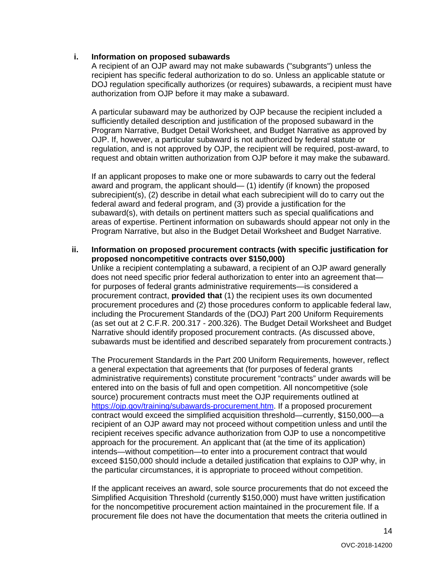#### **i. Information on proposed subawards**

A recipient of an OJP award may not make subawards ("subgrants") unless the recipient has specific federal authorization to do so. Unless an applicable statute or DOJ regulation specifically authorizes (or requires) subawards, a recipient must have authorization from OJP before it may make a subaward.

A particular subaward may be authorized by OJP because the recipient included a sufficiently detailed description and justification of the proposed subaward in the Program Narrative, Budget Detail Worksheet, and Budget Narrative as approved by OJP. If, however, a particular subaward is not authorized by federal statute or regulation, and is not approved by OJP, the recipient will be required, post-award, to request and obtain written authorization from OJP before it may make the subaward.

If an applicant proposes to make one or more subawards to carry out the federal award and program, the applicant should— (1) identify (if known) the proposed subrecipient(s), (2) describe in detail what each subrecipient will do to carry out the federal award and federal program, and (3) provide a justification for the subaward(s), with details on pertinent matters such as special qualifications and areas of expertise. Pertinent information on subawards should appear not only in the Program Narrative, but also in the Budget Detail Worksheet and Budget Narrative.

#### **ii. Information on proposed procurement contracts (with specific justification for proposed noncompetitive contracts over \$150,000)**

Unlike a recipient contemplating a subaward, a recipient of an OJP award generally does not need specific prior federal authorization to enter into an agreement that for purposes of federal grants administrative requirements—is considered a procurement contract, **provided that** (1) the recipient uses its own documented procurement procedures and (2) those procedures conform to applicable federal law, including the Procurement Standards of the (DOJ) Part 200 Uniform Requirements (as set out at 2 C.F.R. 200.317 - 200.326). The Budget Detail Worksheet and Budget Narrative should identify proposed procurement contracts. (As discussed above, subawards must be identified and described separately from procurement contracts.)

The Procurement Standards in the Part 200 Uniform Requirements, however, reflect a general expectation that agreements that (for purposes of federal grants administrative requirements) constitute procurement "contracts" under awards will be entered into on the basis of full and open competition. All noncompetitive (sole source) procurement contracts must meet the OJP requirements outlined at [https://ojp.gov/training/subawards-procurement.htm.](https://ojp.gov/training/subawards-procurement.htm) If a proposed procurement contract would exceed the simplified acquisition threshold—currently, \$150,000—a recipient of an OJP award may not proceed without competition unless and until the recipient receives specific advance authorization from OJP to use a noncompetitive approach for the procurement. An applicant that (at the time of its application) intends—without competition—to enter into a procurement contract that would exceed \$150,000 should include a detailed justification that explains to OJP why, in the particular circumstances, it is appropriate to proceed without competition.

If the applicant receives an award, sole source procurements that do not exceed the Simplified Acquisition Threshold (currently \$150,000) must have written justification for the noncompetitive procurement action maintained in the procurement file. If a procurement file does not have the documentation that meets the criteria outlined in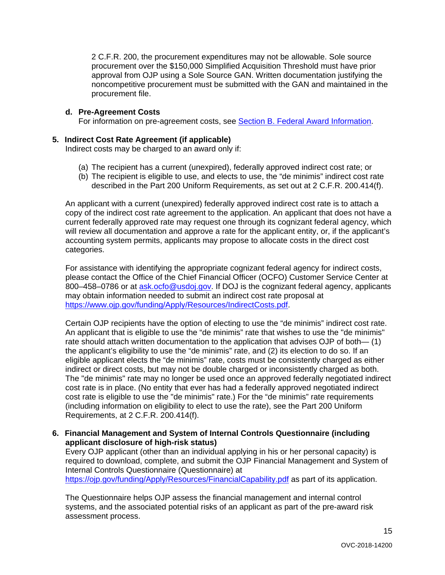2 C.F.R. 200, the procurement expenditures may not be allowable. Sole source procurement over the \$150,000 Simplified Acquisition Threshold must have prior approval from OJP using a Sole Source GAN. Written documentation justifying the noncompetitive procurement must be submitted with the GAN and maintained in the procurement file.

#### **d. Pre-Agreement Costs**

For information on pre-agreement costs, see [Section B. Federal Award Information.](#page-4-2)

#### **5. Indirect Cost Rate Agreement (if applicable)**

Indirect costs may be charged to an award only if:

- (a) The recipient has a current (unexpired), federally approved indirect cost rate; or
- (b) The recipient is eligible to use, and elects to use, the "de minimis" indirect cost rate described in the Part 200 Uniform Requirements, as set out at 2 C.F.R. 200.414(f).

An applicant with a current (unexpired) federally approved indirect cost rate is to attach a copy of the indirect cost rate agreement to the application. An applicant that does not have a current federally approved rate may request one through its cognizant federal agency, which will review all documentation and approve a rate for the applicant entity, or, if the applicant's accounting system permits, applicants may propose to allocate costs in the direct cost categories.

For assistance with identifying the appropriate cognizant federal agency for indirect costs, please contact the Office of the Chief Financial Officer (OCFO) Customer Service Center at 800–458–0786 or at **ask.ocfo@usdoj.gov.** If DOJ is the cognizant federal agency, applicants may obtain information needed to submit an indirect cost rate proposal at [https://www.ojp.gov/funding/Apply/Resources/IndirectCosts.pdf.](https://www.ojp.gov/funding/Apply/Resources/IndirectCosts.pdf)

Certain OJP recipients have the option of electing to use the "de minimis" indirect cost rate. An applicant that is eligible to use the "de minimis" rate that wishes to use the "de minimis" rate should attach written documentation to the application that advises OJP of both— (1) the applicant's eligibility to use the "de minimis" rate, and (2) its election to do so. If an eligible applicant elects the "de minimis" rate, costs must be consistently charged as either indirect or direct costs, but may not be double charged or inconsistently charged as both. The "de minimis" rate may no longer be used once an approved federally negotiated indirect cost rate is in place. (No entity that ever has had a federally approved negotiated indirect cost rate is eligible to use the "de minimis" rate.) For the "de minimis" rate requirements (including information on eligibility to elect to use the rate), see the Part 200 Uniform Requirements, at 2 C.F.R. 200.414(f).

**6. Financial Management and System of Internal Controls Questionnaire (including applicant disclosure of high-risk status)**

Every OJP applicant (other than an individual applying in his or her personal capacity) is required to download, complete, and submit the OJP Financial Management and System of Internal Controls Questionnaire (Questionnaire) at <https://ojp.gov/funding/Apply/Resources/FinancialCapability.pdf> as part of its application.

The Questionnaire helps OJP assess the financial management and internal control systems, and the associated potential risks of an applicant as part of the pre-award risk assessment process.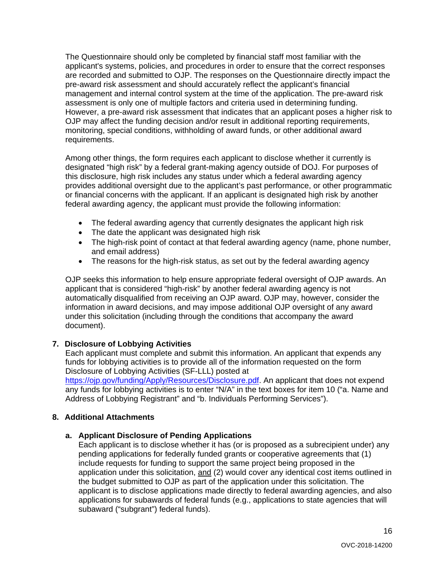The Questionnaire should only be completed by financial staff most familiar with the applicant's systems, policies, and procedures in order to ensure that the correct responses are recorded and submitted to OJP. The responses on the Questionnaire directly impact the pre-award risk assessment and should accurately reflect the applicant's financial management and internal control system at the time of the application. The pre-award risk assessment is only one of multiple factors and criteria used in determining funding. However, a pre-award risk assessment that indicates that an applicant poses a higher risk to OJP may affect the funding decision and/or result in additional reporting requirements, monitoring, special conditions, withholding of award funds, or other additional award requirements.

Among other things, the form requires each applicant to disclose whether it currently is designated "high risk" by a federal grant-making agency outside of DOJ. For purposes of this disclosure, high risk includes any status under which a federal awarding agency provides additional oversight due to the applicant's past performance, or other programmatic or financial concerns with the applicant. If an applicant is designated high risk by another federal awarding agency, the applicant must provide the following information:

- The federal awarding agency that currently designates the applicant high risk
- The date the applicant was designated high risk
- The high-risk point of contact at that federal awarding agency (name, phone number, and email address)
- The reasons for the high-risk status, as set out by the federal awarding agency

OJP seeks this information to help ensure appropriate federal oversight of OJP awards. An applicant that is considered "high-risk" by another federal awarding agency is not automatically disqualified from receiving an OJP award. OJP may, however, consider the information in award decisions, and may impose additional OJP oversight of any award under this solicitation (including through the conditions that accompany the award document).

#### **7. Disclosure of Lobbying Activities**

Each applicant must complete and submit this information. An applicant that expends any funds for lobbying activities is to provide all of the information requested on the form Disclosure of Lobbying Activities (SF-LLL) posted at

[https://ojp.gov/funding/Apply/Resources/Disclosure.pdf.](https://ojp.gov/funding/Apply/Resources/Disclosure.pdf) An applicant that does not expend any funds for lobbying activities is to enter "N/A" in the text boxes for item 10 ("a. Name and Address of Lobbying Registrant" and "b. Individuals Performing Services").

#### **8. Additional Attachments**

#### **a. Applicant Disclosure of Pending Applications**

Each applicant is to disclose whether it has (or is proposed as a subrecipient under) any pending applications for federally funded grants or cooperative agreements that (1) include requests for funding to support the same project being proposed in the application under this solicitation, and (2) would cover any identical cost items outlined in the budget submitted to OJP as part of the application under this solicitation. The applicant is to disclose applications made directly to federal awarding agencies, and also applications for subawards of federal funds (e.g., applications to state agencies that will subaward ("subgrant") federal funds).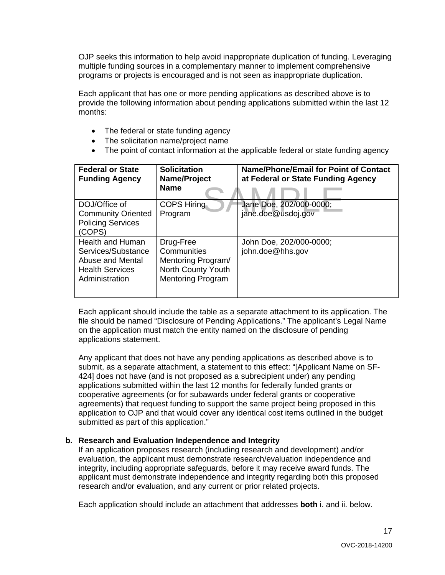OJP seeks this information to help avoid inappropriate duplication of funding. Leveraging multiple funding sources in a complementary manner to implement comprehensive programs or projects is encouraged and is not seen as inappropriate duplication.

Each applicant that has one or more pending applications as described above is to provide the following information about pending applications submitted within the last 12 months:

- The federal or state funding agency
- The solicitation name/project name
- The point of contact information at the applicable federal or state funding agency

| <b>Federal or State</b><br><b>Funding Agency</b>                                                              | <b>Solicitation</b><br>Name/Project<br><b>Name</b>                                               | Name/Phone/Email for Point of Contact<br>at Federal or State Funding Agency |
|---------------------------------------------------------------------------------------------------------------|--------------------------------------------------------------------------------------------------|-----------------------------------------------------------------------------|
| DOJ/Office of<br><b>Community Oriented</b><br><b>Policing Services</b><br>(COPS)                              | <b>COPS Hiring</b><br>Program                                                                    | Jane Doe, 202/000-0000;<br>jane.doe@usdoj.gov                               |
| <b>Health and Human</b><br>Services/Substance<br>Abuse and Mental<br><b>Health Services</b><br>Administration | Drug-Free<br>Communities<br>Mentoring Program/<br>North County Youth<br><b>Mentoring Program</b> | John Doe, 202/000-0000;<br>john.doe@hhs.gov                                 |

Each applicant should include the table as a separate attachment to its application. The file should be named "Disclosure of Pending Applications." The applicant's Legal Name on the application must match the entity named on the disclosure of pending applications statement.

Any applicant that does not have any pending applications as described above is to submit, as a separate attachment, a statement to this effect: "[Applicant Name on SF-424] does not have (and is not proposed as a subrecipient under) any pending applications submitted within the last 12 months for federally funded grants or cooperative agreements (or for subawards under federal grants or cooperative agreements) that request funding to support the same project being proposed in this application to OJP and that would cover any identical cost items outlined in the budget submitted as part of this application."

#### **b. Research and Evaluation Independence and Integrity**

If an application proposes research (including research and development) and/or evaluation, the applicant must demonstrate research/evaluation independence and integrity, including appropriate safeguards, before it may receive award funds. The applicant must demonstrate independence and integrity regarding both this proposed research and/or evaluation, and any current or prior related projects.

Each application should include an attachment that addresses **both** i. and ii. below.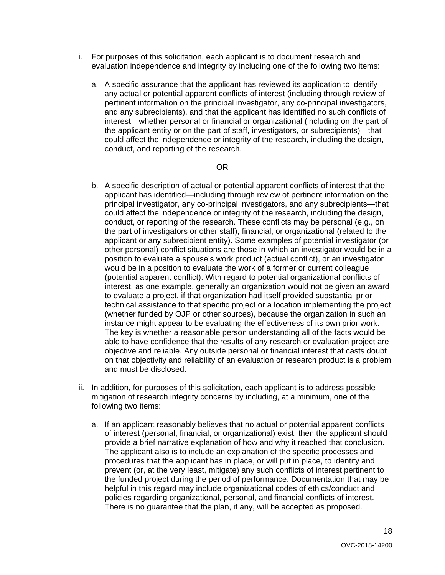- i. For purposes of this solicitation, each applicant is to document research and evaluation independence and integrity by including one of the following two items:
	- a. A specific assurance that the applicant has reviewed its application to identify any actual or potential apparent conflicts of interest (including through review of pertinent information on the principal investigator, any co-principal investigators, and any subrecipients), and that the applicant has identified no such conflicts of interest—whether personal or financial or organizational (including on the part of the applicant entity or on the part of staff, investigators, or subrecipients)—that could affect the independence or integrity of the research, including the design, conduct, and reporting of the research.

#### OR

- b. A specific description of actual or potential apparent conflicts of interest that the applicant has identified—including through review of pertinent information on the principal investigator, any co-principal investigators, and any subrecipients—that could affect the independence or integrity of the research, including the design, conduct, or reporting of the research. These conflicts may be personal (e.g., on the part of investigators or other staff), financial, or organizational (related to the applicant or any subrecipient entity). Some examples of potential investigator (or other personal) conflict situations are those in which an investigator would be in a position to evaluate a spouse's work product (actual conflict), or an investigator would be in a position to evaluate the work of a former or current colleague (potential apparent conflict). With regard to potential organizational conflicts of interest, as one example, generally an organization would not be given an award to evaluate a project, if that organization had itself provided substantial prior technical assistance to that specific project or a location implementing the project (whether funded by OJP or other sources), because the organization in such an instance might appear to be evaluating the effectiveness of its own prior work. The key is whether a reasonable person understanding all of the facts would be able to have confidence that the results of any research or evaluation project are objective and reliable. Any outside personal or financial interest that casts doubt on that objectivity and reliability of an evaluation or research product is a problem and must be disclosed.
- ii. In addition, for purposes of this solicitation, each applicant is to address possible mitigation of research integrity concerns by including, at a minimum, one of the following two items:
	- a. If an applicant reasonably believes that no actual or potential apparent conflicts of interest (personal, financial, or organizational) exist, then the applicant should provide a brief narrative explanation of how and why it reached that conclusion. The applicant also is to include an explanation of the specific processes and procedures that the applicant has in place, or will put in place, to identify and prevent (or, at the very least, mitigate) any such conflicts of interest pertinent to the funded project during the period of performance. Documentation that may be helpful in this regard may include organizational codes of ethics/conduct and policies regarding organizational, personal, and financial conflicts of interest. There is no guarantee that the plan, if any, will be accepted as proposed.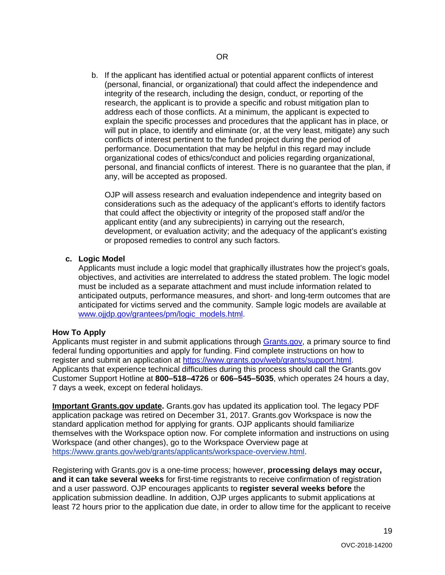b. If the applicant has identified actual or potential apparent conflicts of interest (personal, financial, or organizational) that could affect the independence and integrity of the research, including the design, conduct, or reporting of the research, the applicant is to provide a specific and robust mitigation plan to address each of those conflicts. At a minimum, the applicant is expected to explain the specific processes and procedures that the applicant has in place, or will put in place, to identify and eliminate (or, at the very least, mitigate) any such conflicts of interest pertinent to the funded project during the period of performance. Documentation that may be helpful in this regard may include organizational codes of ethics/conduct and policies regarding organizational, personal, and financial conflicts of interest. There is no guarantee that the plan, if any, will be accepted as proposed.

OJP will assess research and evaluation independence and integrity based on considerations such as the adequacy of the applicant's efforts to identify factors that could affect the objectivity or integrity of the proposed staff and/or the applicant entity (and any subrecipients) in carrying out the research, development, or evaluation activity; and the adequacy of the applicant's existing or proposed remedies to control any such factors.

#### **c. Logic Model**

Applicants must include a logic model that graphically illustrates how the project's goals, objectives, and activities are interrelated to address the stated problem. The logic model must be included as a separate attachment and must include information related to anticipated outputs, performance measures, and short- and long-term outcomes that are anticipated for victims served and the community. Sample logic models are available at [www.ojjdp.gov/grantees/pm/logic\\_models.html.](http://www.ojjdp.gov/grantees/pm/logic_models.html)

#### <span id="page-18-0"></span>**How To Apply**

Applicants must register in and submit applications through [Grants.gov,](https://www.grants.gov/) a primary source to find federal funding opportunities and apply for funding. Find complete instructions on how to register and submit an application at [https://www.grants.gov/web/grants/support.html.](https://www.grants.gov/web/grants/support.html) Applicants that experience technical difficulties during this process should call the Grants.gov Customer Support Hotline at **800–518–4726** or **606–545–5035**, which operates 24 hours a day, 7 days a week, except on federal holidays.

**Important Grants.gov update.** Grants.gov has updated its application tool. The legacy PDF application package was retired on December 31, 2017. Grants.gov Workspace is now the standard application method for applying for grants. OJP applicants should familiarize themselves with the Workspace option now. For complete information and instructions on using Workspace (and other changes), go to the Workspace Overview page at [https://www.grants.gov/web/grants/applicants/workspace-overview.html.](https://www.grants.gov/web/grants/applicants/workspace-overview.html)

Registering with Grants.gov is a one-time process; however, **processing delays may occur, and it can take several weeks** for first-time registrants to receive confirmation of registration and a user password. OJP encourages applicants to **register several weeks before** the application submission deadline. In addition, OJP urges applicants to submit applications at least 72 hours prior to the application due date, in order to allow time for the applicant to receive

19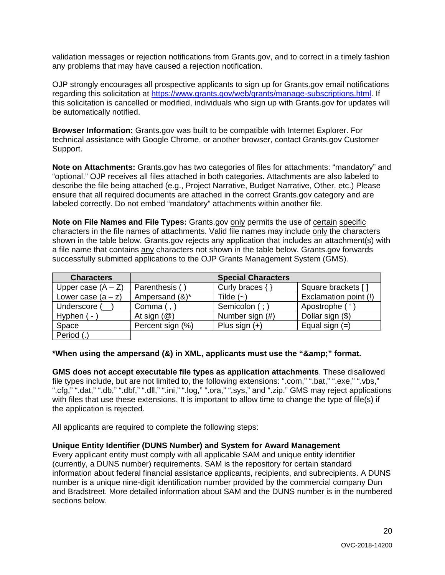validation messages or rejection notifications from Grants.gov, and to correct in a timely fashion any problems that may have caused a rejection notification.

OJP strongly encourages all prospective applicants to sign up for Grants.gov email notifications regarding this solicitation at [https://www.grants.gov/web/grants/manage-subscriptions.html.](https://www.grants.gov/web/grants/manage-subscriptions.html) If this solicitation is cancelled or modified, individuals who sign up with Grants.gov for updates will be automatically notified.

**Browser Information:** Grants.gov was built to be compatible with Internet Explorer. For technical assistance with Google Chrome, or another browser, contact Grants.gov Customer Support.

**Note on Attachments:** Grants.gov has two categories of files for attachments: "mandatory" and "optional." OJP receives all files attached in both categories. Attachments are also labeled to describe the file being attached (e.g., Project Narrative, Budget Narrative, Other, etc.) Please ensure that all required documents are attached in the correct Grants.gov category and are labeled correctly. Do not embed "mandatory" attachments within another file.

**Note on File Names and File Types:** Grants.gov only permits the use of certain specific characters in the file names of attachments. Valid file names may include only the characters shown in the table below. Grants.gov rejects any application that includes an attachment(s) with a file name that contains any characters not shown in the table below. Grants.gov forwards successfully submitted applications to the OJP Grants Management System (GMS).

| <b>Characters</b>    |                         | <b>Special Characters</b> |                       |
|----------------------|-------------------------|---------------------------|-----------------------|
| Upper case $(A - Z)$ | Parenthesis (           | Curly braces { }          | Square brackets []    |
| Lower case $(a - z)$ | Ampersand (&)*          | Tilde $(-)$               | Exclamation point (!) |
| Underscore (         | Comma (,                | Semicolon (;)             | Apostrophe ('         |
| Hyphen ( -           | At sign $(\mathcal{Q})$ | Number sign (#)           | Dollar sign (\$)      |
| Space                | Percent sign (%)        | Plus sign $(+)$           | Equal sign $(=)$      |
| Period (.)           |                         |                           |                       |

#### \*When using the ampersand (&) in XML, applicants must use the "&" format.

**GMS does not accept executable file types as application attachments**. These disallowed file types include, but are not limited to, the following extensions: ".com," ".bat," ".exe," ".vbs," ".cfg," ".dat," ".db," ".dbf," ".dll," ".ini," ".log," ".ora," ".sys," and ".zip." GMS may reject applications with files that use these extensions. It is important to allow time to change the type of file(s) if the application is rejected.

All applicants are required to complete the following steps:

#### **Unique Entity Identifier (DUNS Number) and System for Award Management**

Every applicant entity must comply with all applicable SAM and unique entity identifier (currently, a DUNS number) requirements. SAM is the repository for certain standard information about federal financial assistance applicants, recipients, and subrecipients. A DUNS number is a unique nine-digit identification number provided by the commercial company Dun and Bradstreet. More detailed information about SAM and the DUNS number is in the numbered sections below.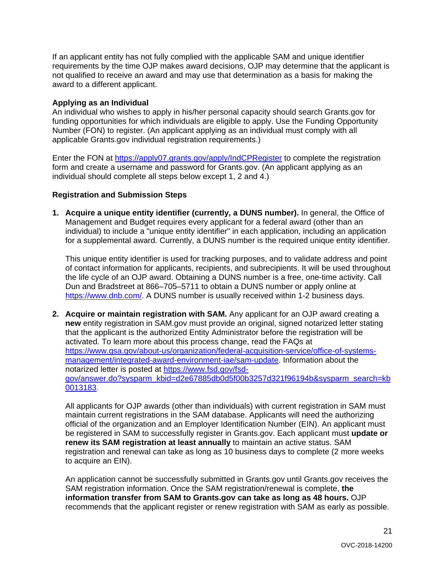If an applicant entity has not fully complied with the applicable SAM and unique identifier requirements by the time OJP makes award decisions, OJP may determine that the applicant is not qualified to receive an award and may use that determination as a basis for making the award to a different applicant.

#### **Applying as an Individual**

An individual who wishes to apply in his/her personal capacity should search Grants.gov for funding opportunities for which individuals are eligible to apply. Use the Funding Opportunity Number (FON) to register. (An applicant applying as an individual must comply with all applicable Grants.gov individual registration requirements.)

Enter the FON at<https://apply07.grants.gov/apply/IndCPRegister> to complete the registration form and create a username and password for Grants.gov. (An applicant applying as an individual should complete all steps below except 1, 2 and 4.)

#### **Registration and Submission Steps**

**1. Acquire a unique entity identifier (currently, a DUNS number).** In general, the Office of Management and Budget requires every applicant for a federal award (other than an individual) to include a "unique entity identifier" in each application, including an application for a supplemental award. Currently, a DUNS number is the required unique entity identifier.

This unique entity identifier is used for tracking purposes, and to validate address and point of contact information for applicants, recipients, and subrecipients. It will be used throughout the life cycle of an OJP award. Obtaining a DUNS number is a free, one-time activity. Call Dun and Bradstreet at 866–705–5711 to obtain a DUNS number or apply online at [https://www.dnb.com/.](https://www.dnb.com/) A DUNS number is usually received within 1-2 business days.

**2. Acquire or maintain registration with SAM.** Any applicant for an OJP award creating a **new** entity registration in SAM.gov must provide an original, signed notarized letter stating that the applicant is the authorized Entity Administrator before the registration will be activated. To learn more about this process change, read the FAQs at [https://www.gsa.gov/about-us/organization/federal-acquisition-service/office-of-systems](https://www.gsa.gov/about-us/organization/federal-acquisition-service/office-of-systems-management/integrated-award-environment-iae/sam-update)[management/integrated-award-environment-iae/sam-update.](https://www.gsa.gov/about-us/organization/federal-acquisition-service/office-of-systems-management/integrated-award-environment-iae/sam-update) Information about the notarized letter is posted at [https://www.fsd.gov/fsd](https://www.fsd.gov/fsd-gov/answer.do?sysparm_kbid=d2e67885db0d5f00b3257d321f96194b&sysparm_search=kb0013183)[gov/answer.do?sysparm\\_kbid=d2e67885db0d5f00b3257d321f96194b&sysparm\\_search=kb](https://www.fsd.gov/fsd-gov/answer.do?sysparm_kbid=d2e67885db0d5f00b3257d321f96194b&sysparm_search=kb0013183) [0013183.](https://www.fsd.gov/fsd-gov/answer.do?sysparm_kbid=d2e67885db0d5f00b3257d321f96194b&sysparm_search=kb0013183)

All applicants for OJP awards (other than individuals) with current registration in SAM must maintain current registrations in the SAM database. Applicants will need the authorizing official of the organization and an Employer Identification Number (EIN). An applicant must be registered in SAM to successfully register in Grants.gov. Each applicant must **update or renew its SAM registration at least annually** to maintain an active status. SAM registration and renewal can take as long as 10 business days to complete (2 more weeks to acquire an EIN).

An application cannot be successfully submitted in Grants.gov until Grants.gov receives the SAM registration information. Once the SAM registration/renewal is complete, **the information transfer from SAM to Grants.gov can take as long as 48 hours.** OJP recommends that the applicant register or renew registration with SAM as early as possible.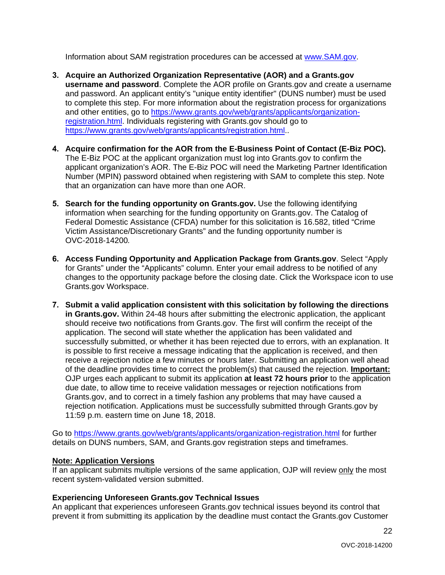Information about SAM registration procedures can be accessed at [www.SAM.gov.](https://www.sam.gov/)

- **3. Acquire an Authorized Organization Representative (AOR) and a Grants.gov username and password**. Complete the AOR profile on Grants.gov and create a username and password. An applicant entity's "unique entity identifier" (DUNS number) must be used to complete this step. For more information about the registration process for organizations and other entities, go to [https://www.grants.gov/web/grants/applicants/organization](https://www.grants.gov/web/grants/applicants/organization-registration.html)[registration.html.](https://www.grants.gov/web/grants/applicants/organization-registration.html) Individuals registering with Grants.gov should go to [https://www.grants.gov/web/grants/applicants/registration.html.](https://www.grants.gov/web/grants/applicants/registration.html).
- **4. Acquire confirmation for the AOR from the E-Business Point of Contact (E-Biz POC).** The E-Biz POC at the applicant organization must log into Grants.gov to confirm the applicant organization's AOR. The E-Biz POC will need the Marketing Partner Identification Number (MPIN) password obtained when registering with SAM to complete this step. Note that an organization can have more than one AOR.
- **5. Search for the funding opportunity on Grants.gov.** Use the following identifying information when searching for the funding opportunity on Grants.gov. The Catalog of Federal Domestic Assistance (CFDA) number for this solicitation is 16.582, titled "Crime Victim Assistance/Discretionary Grants" and the funding opportunity number is OVC-2018-14200*.*
- **6. Access Funding Opportunity and Application Package from Grants.gov**. Select "Apply for Grants" under the "Applicants" column. Enter your email address to be notified of any changes to the opportunity package before the closing date. Click the Workspace icon to use Grants.gov Workspace.
- **7. Submit a valid application consistent with this solicitation by following the directions in Grants.gov.** Within 24-48 hours after submitting the electronic application, the applicant should receive two notifications from Grants.gov. The first will confirm the receipt of the application. The second will state whether the application has been validated and successfully submitted, or whether it has been rejected due to errors, with an explanation. It is possible to first receive a message indicating that the application is received, and then receive a rejection notice a few minutes or hours later. Submitting an application well ahead of the deadline provides time to correct the problem(s) that caused the rejection. **Important:** OJP urges each applicant to submit its application **at least 72 hours prior** to the application due date, to allow time to receive validation messages or rejection notifications from Grants.gov, and to correct in a timely fashion any problems that may have caused a rejection notification. Applications must be successfully submitted through Grants.gov by 11:59 p.m. eastern time on June 18, 2018.

Go to<https://www.grants.gov/web/grants/applicants/organization-registration.html> for further details on DUNS numbers, SAM, and Grants.gov registration steps and timeframes.

#### **Note: Application Versions**

If an applicant submits multiple versions of the same application, OJP will review only the most recent system-validated version submitted.

#### **Experiencing Unforeseen Grants.gov Technical Issues**

An applicant that experiences unforeseen Grants.gov technical issues beyond its control that prevent it from submitting its application by the deadline must contact the Grants.gov Customer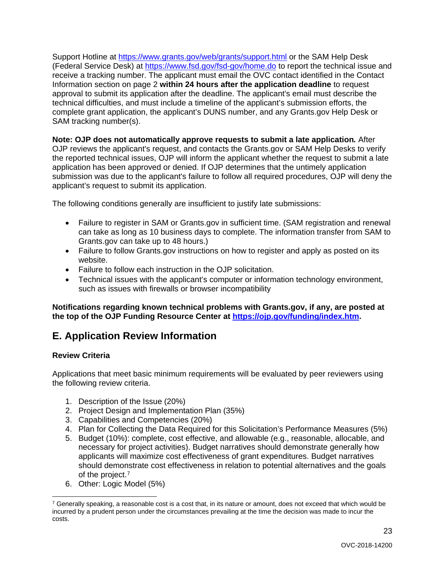<span id="page-22-2"></span>Support Hotline at<https://www.grants.gov/web/grants/support.html> or the SAM Help Desk (Federal Service Desk) at<https://www.fsd.gov/fsd-gov/home.do> to report the technical issue and receive a tracking number. The applicant must email the OVC contact identified in the Contact Information section on page 2 **within 24 hours after the application deadline** to request approval to submit its application after the deadline. The applicant's email must describe the technical difficulties, and must include a timeline of the applicant's submission efforts, the complete grant application, the applicant's DUNS number, and any Grants.gov Help Desk or SAM tracking number(s).

**Note: OJP does not automatically approve requests to submit a late application***.* After OJP reviews the applicant's request, and contacts the Grants.gov or SAM Help Desks to verify the reported technical issues, OJP will inform the applicant whether the request to submit a late application has been approved or denied. If OJP determines that the untimely application submission was due to the applicant's failure to follow all required procedures, OJP will deny the applicant's request to submit its application.

The following conditions generally are insufficient to justify late submissions:

- Failure to register in SAM or Grants.gov in sufficient time. (SAM registration and renewal can take as long as 10 business days to complete. The information transfer from SAM to Grants.gov can take up to 48 hours.)
- Failure to follow Grants.gov instructions on how to register and apply as posted on its website.
- Failure to follow each instruction in the OJP solicitation.
- Technical issues with the applicant's computer or information technology environment, such as issues with firewalls or browser incompatibility

**Notifications regarding known technical problems with Grants.gov, if any, are posted at the top of the OJP Funding Resource Center at [https://ojp.gov/funding/index.htm.](https://ojp.gov/funding/index.htm)**

## <span id="page-22-0"></span>**E. Application Review Information**

#### <span id="page-22-1"></span>**Review Criteria**

Applications that meet basic minimum requirements will be evaluated by peer reviewers using the following review criteria.

- 1. Description of the Issue (20%)
- 2. Project Design and Implementation Plan (35%)
- 3. Capabilities and Competencies (20%)
- 4. Plan for Collecting the Data Required for this Solicitation's Performance Measures (5%)
- 5. Budget (10%): complete, cost effective, and allowable (e.g., reasonable, allocable, and necessary for project activities). Budget narratives should demonstrate generally how applicants will maximize cost effectiveness of grant expenditures. Budget narratives should demonstrate cost effectiveness in relation to potential alternatives and the goals of the project.[7](#page-22-3)
- 6. Other: Logic Model (5%)

<span id="page-22-3"></span> $7$  Generally speaking, a reasonable cost is a cost that, in its nature or amount, does not exceed that which would be incurred by a prudent person under the circumstances prevailing at the time the decision was made to incur the costs.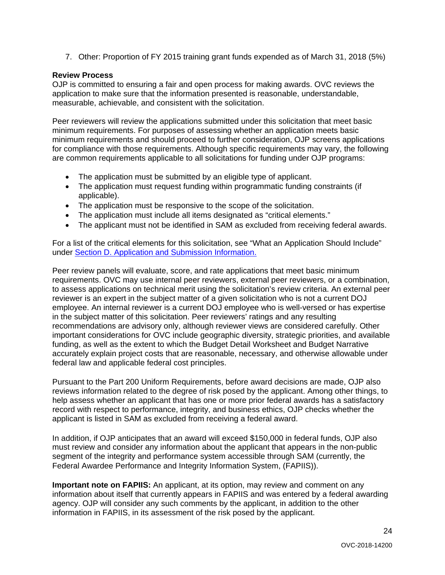7. Other: Proportion of FY 2015 training grant funds expended as of March 31, 2018 (5%)

#### <span id="page-23-0"></span>**Review Process**

OJP is committed to ensuring a fair and open process for making awards. OVC reviews the application to make sure that the information presented is reasonable, understandable, measurable, achievable, and consistent with the solicitation.

Peer reviewers will review the applications submitted under this solicitation that meet basic minimum requirements. For purposes of assessing whether an application meets basic minimum requirements and should proceed to further consideration, OJP screens applications for compliance with those requirements. Although specific requirements may vary, the following are common requirements applicable to all solicitations for funding under OJP programs:

- The application must be submitted by an eligible type of applicant.
- The application must request funding within programmatic funding constraints (if applicable).
- The application must be responsive to the scope of the solicitation.
- The application must include all items designated as "critical elements."
- The applicant must not be identified in SAM as excluded from receiving federal awards.

For a list of the critical elements for this solicitation, see "What an Application Should Include" under [Section D. Application and Submission Information.](#page-7-0)

Peer review panels will evaluate, score, and rate applications that meet basic minimum requirements. OVC may use internal peer reviewers, external peer reviewers, or a combination, to assess applications on technical merit using the solicitation's review criteria. An external peer reviewer is an expert in the subject matter of a given solicitation who is not a current DOJ employee. An internal reviewer is a current DOJ employee who is well-versed or has expertise in the subject matter of this solicitation. Peer reviewers' ratings and any resulting recommendations are advisory only, although reviewer views are considered carefully. Other important considerations for OVC include geographic diversity, strategic priorities, and available funding, as well as the extent to which the Budget Detail Worksheet and Budget Narrative accurately explain project costs that are reasonable, necessary, and otherwise allowable under federal law and applicable federal cost principles.

Pursuant to the Part 200 Uniform Requirements, before award decisions are made, OJP also reviews information related to the degree of risk posed by the applicant. Among other things, to help assess whether an applicant that has one or more prior federal awards has a satisfactory record with respect to performance, integrity, and business ethics, OJP checks whether the applicant is listed in SAM as excluded from receiving a federal award.

In addition, if OJP anticipates that an award will exceed \$150,000 in federal funds, OJP also must review and consider any information about the applicant that appears in the non-public segment of the integrity and performance system accessible through SAM (currently, the Federal Awardee Performance and Integrity Information System, (FAPIIS)).

**Important note on FAPIIS:** An applicant, at its option, may review and comment on any information about itself that currently appears in FAPIIS and was entered by a federal awarding agency. OJP will consider any such comments by the applicant, in addition to the other information in FAPIIS, in its assessment of the risk posed by the applicant.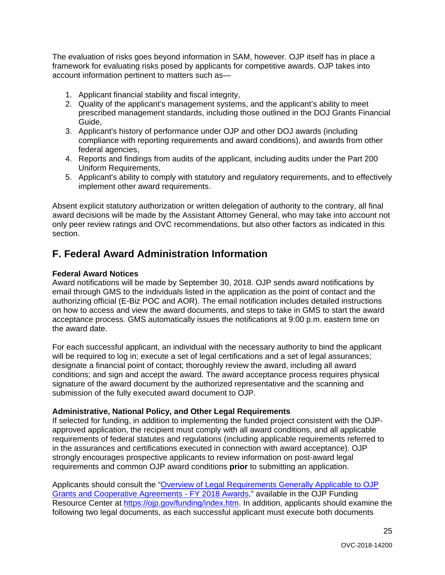The evaluation of risks goes beyond information in SAM, however. OJP itself has in place a framework for evaluating risks posed by applicants for competitive awards. OJP takes into account information pertinent to matters such as—

- 1. Applicant financial stability and fiscal integrity,
- 2. Quality of the applicant's management systems, and the applicant's ability to meet prescribed management standards, including those outlined in the DOJ Grants Financial Guide,
- 3. Applicant's history of performance under OJP and other DOJ awards (including compliance with reporting requirements and award conditions), and awards from other federal agencies,
- 4. Reports and findings from audits of the applicant, including audits under the Part 200 Uniform Requirements,
- 5. Applicant's ability to comply with statutory and regulatory requirements, and to effectively implement other award requirements.

Absent explicit statutory authorization or written delegation of authority to the contrary, all final award decisions will be made by the Assistant Attorney General, who may take into account not only peer review ratings and OVC recommendations, but also other factors as indicated in this section.

### <span id="page-24-0"></span>**F. Federal Award Administration Information**

#### <span id="page-24-1"></span>**Federal Award Notices**

Award notifications will be made by September 30, 2018. OJP sends award notifications by email through GMS to the individuals listed in the application as the point of contact and the authorizing official (E-Biz POC and AOR). The email notification includes detailed instructions on how to access and view the award documents, and steps to take in GMS to start the award acceptance process. GMS automatically issues the notifications at 9:00 p.m. eastern time on the award date.

For each successful applicant, an individual with the necessary authority to bind the applicant will be required to log in; execute a set of legal certifications and a set of legal assurances; designate a financial point of contact; thoroughly review the award, including all award conditions; and sign and accept the award. The award acceptance process requires physical signature of the award document by the authorized representative and the scanning and submission of the fully executed award document to OJP.

#### <span id="page-24-2"></span>**Administrative, National Policy, and Other Legal Requirements**

If selected for funding, in addition to implementing the funded project consistent with the OJPapproved application, the recipient must comply with all award conditions, and all applicable requirements of federal statutes and regulations (including applicable requirements referred to in the assurances and certifications executed in connection with award acceptance). OJP strongly encourages prospective applicants to review information on post-award legal requirements and common OJP award conditions **prior** to submitting an application.

Applicants should consult the ["Overview of Legal Requirements Generally Applicable to OJP](https://ojp.gov/funding/Explore/LegalOverview/index.htm)  [Grants and Cooperative Agreements - FY 2018 Awards,](https://ojp.gov/funding/Explore/LegalOverview/index.htm)" available in the OJP Funding Resource Center at [https://ojp.gov/funding/index.htm.](https://ojp.gov/funding/index.htm) In addition, applicants should examine the following two legal documents, as each successful applicant must execute both documents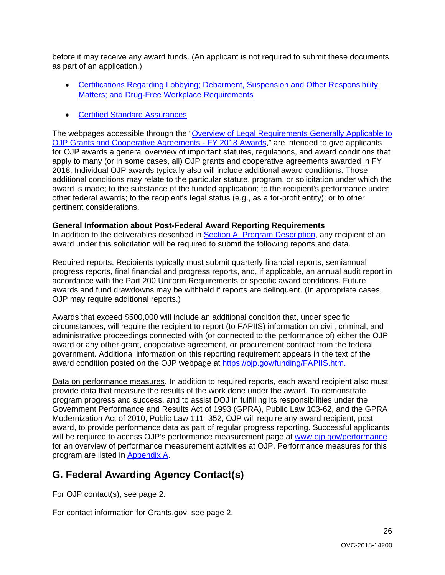before it may receive any award funds. (An applicant is not required to submit these documents as part of an application.)

- [Certifications Regarding Lobbying; Debarment, Suspension and Other Responsibility](https://ojp.gov/funding/Apply/Resources/Certifications.pdf)  [Matters; and Drug-Free Workplace Requirements](https://ojp.gov/funding/Apply/Resources/Certifications.pdf)
- [Certified Standard Assurances](https://ojp.gov/funding/Apply/Resources/StandardAssurances.pdf)

The webpages accessible through the ["Overview of Legal Requirements Generally Applicable to](https://ojp.gov/funding/Explore/LegalOverview/index.htm)  [OJP Grants and Cooperative Agreements -](https://ojp.gov/funding/Explore/LegalOverview/index.htm) FY 2018 Awards," are intended to give applicants for OJP awards a general overview of important statutes, regulations, and award conditions that apply to many (or in some cases, all) OJP grants and cooperative agreements awarded in FY 2018. Individual OJP awards typically also will include additional award conditions. Those additional conditions may relate to the particular statute, program, or solicitation under which the award is made; to the substance of the funded application; to the recipient's performance under other federal awards; to the recipient's legal status (e.g., as a for-profit entity); or to other pertinent considerations.

#### <span id="page-25-0"></span>**General Information about Post-Federal Award Reporting Requirements**

In addition to the deliverables described in [Section A. Program Description,](#page-3-0) any recipient of an award under this solicitation will be required to submit the following reports and data.

Required reports. Recipients typically must submit quarterly financial reports, semiannual progress reports, final financial and progress reports, and, if applicable, an annual audit report in accordance with the Part 200 Uniform Requirements or specific award conditions. Future awards and fund drawdowns may be withheld if reports are delinquent. (In appropriate cases, OJP may require additional reports.)

Awards that exceed \$500,000 will include an additional condition that, under specific circumstances, will require the recipient to report (to FAPIIS) information on civil, criminal, and administrative proceedings connected with (or connected to the performance of) either the OJP award or any other grant, cooperative agreement, or procurement contract from the federal government. Additional information on this reporting requirement appears in the text of the award condition posted on the OJP webpage at [https://ojp.gov/funding/FAPIIS.htm.](https://ojp.gov/funding/FAPIIS.htm)

Data on performance measures. In addition to required reports, each award recipient also must provide data that measure the results of the work done under the award. To demonstrate program progress and success, and to assist DOJ in fulfilling its responsibilities under the Government Performance and Results Act of 1993 (GPRA), Public Law 103-62, and the GPRA Modernization Act of 2010, Public Law 111–352, OJP will require any award recipient, post award, to provide performance data as part of regular progress reporting. Successful applicants will be required to access OJP's performance measurement page at<www.ojp.gov/performance> for an overview of performance measurement activities at OJP. Performance measures for this program are listed in [Appendix A.](#page-27-0)

## <span id="page-25-1"></span>**G. Federal Awarding Agency Contact(s)**

For OJP contact(s), see page 2.

For contact information for Grants.gov, see page 2.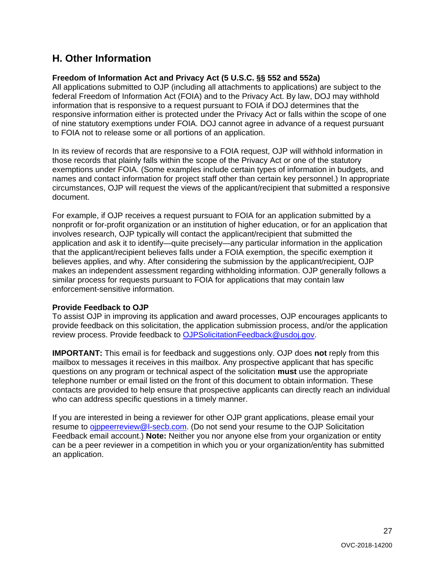## <span id="page-26-0"></span>**H. Other Information**

#### <span id="page-26-1"></span>**Freedom of Information Act and Privacy Act (5 U.S.C. §§ 552 and 552a)**

All applications submitted to OJP (including all attachments to applications) are subject to the federal Freedom of Information Act (FOIA) and to the Privacy Act. By law, DOJ may withhold information that is responsive to a request pursuant to FOIA if DOJ determines that the responsive information either is protected under the Privacy Act or falls within the scope of one of nine statutory exemptions under FOIA. DOJ cannot agree in advance of a request pursuant to FOIA not to release some or all portions of an application.

In its review of records that are responsive to a FOIA request, OJP will withhold information in those records that plainly falls within the scope of the Privacy Act or one of the statutory exemptions under FOIA. (Some examples include certain types of information in budgets, and names and contact information for project staff other than certain key personnel.) In appropriate circumstances, OJP will request the views of the applicant/recipient that submitted a responsive document.

For example, if OJP receives a request pursuant to FOIA for an application submitted by a nonprofit or for-profit organization or an institution of higher education, or for an application that involves research, OJP typically will contact the applicant/recipient that submitted the application and ask it to identify—quite precisely—any particular information in the application that the applicant/recipient believes falls under a FOIA exemption, the specific exemption it believes applies, and why. After considering the submission by the applicant/recipient, OJP makes an independent assessment regarding withholding information. OJP generally follows a similar process for requests pursuant to FOIA for applications that may contain law enforcement-sensitive information.

#### <span id="page-26-2"></span>**Provide Feedback to OJP**

To assist OJP in improving its application and award processes, OJP encourages applicants to provide feedback on this solicitation, the application submission process, and/or the application review process. Provide feedback to [OJPSolicitationFeedback@usdoj.gov.](mailto:OJPSolicitationFeedback@usdoj.gov)

**IMPORTANT:** This email is for feedback and suggestions only. OJP does **not** reply from this mailbox to messages it receives in this mailbox. Any prospective applicant that has specific questions on any program or technical aspect of the solicitation **must** use the appropriate telephone number or email listed on the front of this document to obtain information. These contacts are provided to help ensure that prospective applicants can directly reach an individual who can address specific questions in a timely manner.

If you are interested in being a reviewer for other OJP grant applications, please email your resume to [ojppeerreview@l-secb.com.](mailto:ojppeerreview@l-secb.com) (Do not send your resume to the OJP Solicitation Feedback email account.) **Note:** Neither you nor anyone else from your organization or entity can be a peer reviewer in a competition in which you or your organization/entity has submitted an application.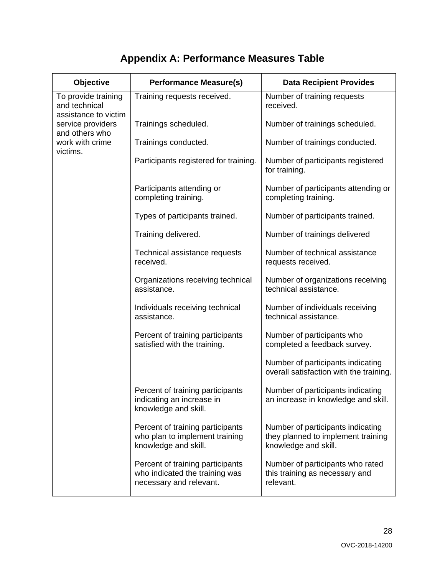|  | <b>Appendix A: Performance Measures Table</b> |  |  |
|--|-----------------------------------------------|--|--|
|--|-----------------------------------------------|--|--|

<span id="page-27-1"></span><span id="page-27-0"></span>

| Objective                                                    | <b>Performance Measure(s)</b>                                                                 | <b>Data Recipient Provides</b>                                                                  |
|--------------------------------------------------------------|-----------------------------------------------------------------------------------------------|-------------------------------------------------------------------------------------------------|
| To provide training<br>and technical<br>assistance to victim | Training requests received.                                                                   | Number of training requests<br>received.                                                        |
| service providers<br>and others who                          | Trainings scheduled.                                                                          | Number of trainings scheduled.                                                                  |
| work with crime                                              | Trainings conducted.                                                                          | Number of trainings conducted.                                                                  |
| victims.                                                     | Participants registered for training.                                                         | Number of participants registered<br>for training.                                              |
|                                                              | Participants attending or<br>completing training.                                             | Number of participants attending or<br>completing training.                                     |
|                                                              | Types of participants trained.                                                                | Number of participants trained.                                                                 |
|                                                              | Training delivered.                                                                           | Number of trainings delivered                                                                   |
|                                                              | Technical assistance requests<br>received.                                                    | Number of technical assistance<br>requests received.                                            |
|                                                              | Organizations receiving technical<br>assistance.                                              | Number of organizations receiving<br>technical assistance.                                      |
|                                                              | Individuals receiving technical<br>assistance.                                                | Number of individuals receiving<br>technical assistance.                                        |
|                                                              | Percent of training participants<br>satisfied with the training.                              | Number of participants who<br>completed a feedback survey.                                      |
|                                                              |                                                                                               | Number of participants indicating<br>overall satisfaction with the training.                    |
|                                                              | Percent of training participants<br>indicating an increase in<br>knowledge and skill.         | Number of participants indicating<br>an increase in knowledge and skill.                        |
|                                                              | Percent of training participants<br>who plan to implement training<br>knowledge and skill.    | Number of participants indicating<br>they planned to implement training<br>knowledge and skill. |
|                                                              | Percent of training participants<br>who indicated the training was<br>necessary and relevant. | Number of participants who rated<br>this training as necessary and<br>relevant.                 |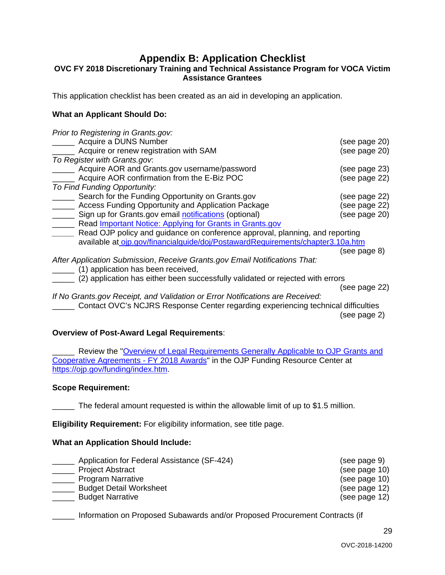### **Appendix B: Application Checklist**

#### <span id="page-28-0"></span>**OVC FY 2018 Discretionary Training and Technical Assistance Program for VOCA Victim Assistance Grantees**

This application checklist has been created as an aid in developing an application.

#### **What an Applicant Should Do:**

| Prior to Registering in Grants.gov:                                               |               |
|-----------------------------------------------------------------------------------|---------------|
| Acquire a DUNS Number                                                             | (see page 20) |
| Acquire or renew registration with SAM                                            | (see page 20) |
| To Register with Grants.gov.                                                      |               |
| Acquire AOR and Grants.gov username/password                                      | (see page 23) |
| Acquire AOR confirmation from the E-Biz POC                                       | (see page 22) |
| To Find Funding Opportunity:                                                      |               |
| Search for the Funding Opportunity on Grants.gov                                  | (see page 22) |
| Access Funding Opportunity and Application Package                                | (see page 22) |
| Sign up for Grants.gov email notifications (optional)                             | (see page 20) |
| Read Important Notice: Applying for Grants in Grants.gov                          |               |
| Read OJP policy and guidance on conference approval, planning, and reporting      |               |
| available at ojp.gov/financialguide/doj/PostawardRequirements/chapter3.10a.htm    |               |
|                                                                                   | (see page 8)  |
| After Application Submission, Receive Grants.gov Email Notifications That:        |               |
| (1) application has been received,                                                |               |
| (2) application has either been successfully validated or rejected with errors    |               |
|                                                                                   | (see page 22) |
| If No Grants.gov Receipt, and Validation or Error Notifications are Received:     |               |
| Contact OVC's NCJRS Response Center regarding experiencing technical difficulties |               |
|                                                                                   | (see page 2)  |

#### **Overview of Post-Award Legal Requirements**:

Review the "Overview of Legal Requirements Generally Applicable to OJP Grants and [Cooperative Agreements -](https://ojp.gov/funding/Explore/SolicitationRequirements/index.htm) FY 2018 Awards" in the OJP Funding Resource Center at [https://ojp.gov/funding/index.htm.](https://ojp.gov/funding/index.htm)

#### **Scope Requirement:**

The federal amount requested is within the allowable limit of up to \$1.5 million.

**Eligibility Requirement:** For eligibility information, see title page.

#### **What an Application Should Include:**

| Application for Federal Assistance (SF-424)         | (see page 9)                   |
|-----------------------------------------------------|--------------------------------|
| <b>Project Abstract</b><br><b>Program Narrative</b> | (see page 10)<br>(see page 10) |
| <b>Budget Detail Worksheet</b>                      | (see page 12)                  |
| <b>Budget Narrative</b>                             | (see page 12)                  |

\_\_\_\_\_ Information on Proposed Subawards and/or Proposed Procurement Contracts (if